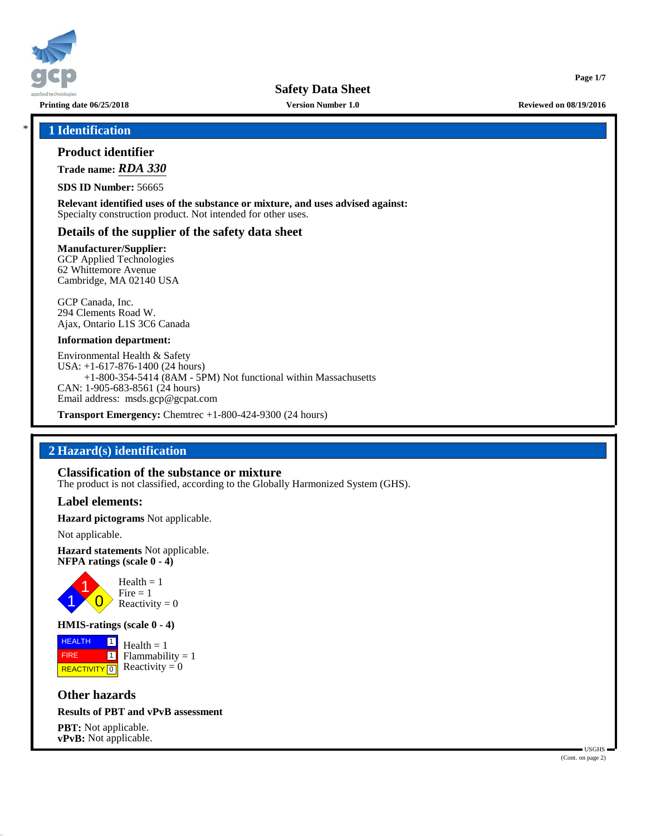

**Safety Data Sheet**

**Printing date 06/25/2018 Version Number 1.0 Reviewed on 08/19/2016**

**Page 1/7**

# \* **1 Identification**

#### **Product identifier**

**Trade name:** *RDA 330*

**SDS ID Number:** 56665

**Relevant identified uses of the substance or mixture, and uses advised against:** Specialty construction product. Not intended for other uses.

# **Details of the supplier of the safety data sheet**

**Manufacturer/Supplier:**

GCP Applied Technologies 62 Whittemore Avenue Cambridge, MA 02140 USA

GCP Canada, Inc. 294 Clements Road W. Ajax, Ontario L1S 3C6 Canada

#### **Information department:**

Environmental Health & Safety USA: +1-617-876-1400 (24 hours) +1-800-354-5414 (8AM - 5PM) Not functional within Massachusetts CAN: 1-905-683-8561 (24 hours) Email address: msds.gcp@gcpat.com

**Transport Emergency:** Chemtrec +1-800-424-9300 (24 hours)

# **2 Hazard(s) identification**

#### **Classification of the substance or mixture**

The product is not classified, according to the Globally Harmonized System (GHS).

#### **Label elements:**

**Hazard pictograms** Not applicable.

Not applicable.

**Hazard statements** Not applicable. **NFPA ratings (scale 0 - 4)**



### **HMIS-ratings (scale 0 - 4)**

**HEALTH**  FIRE **REACTIVITY** 0 |1|  $\boxed{1}$  $Health = 1$  $Flammability = 1$ Reactivity  $= 0$ 

# **Other hazards**

# **Results of PBT and vPvB assessment**

**PBT:** Not applicable. **vPvB:** Not applicable.

 USGHS (Cont. on page 2)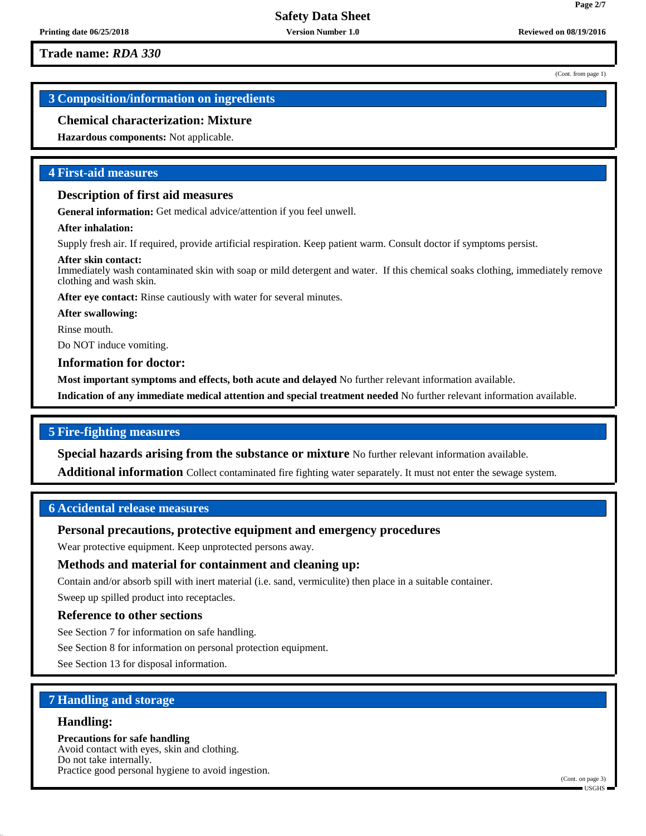(Cont. from page 1)

**Page 2/7**

# **3 Composition/information on ingredients**

# **Chemical characterization: Mixture**

**Hazardous components:** Not applicable.

## **4 First-aid measures**

#### **Description of first aid measures**

**General information:** Get medical advice/attention if you feel unwell.

#### **After inhalation:**

Supply fresh air. If required, provide artificial respiration. Keep patient warm. Consult doctor if symptoms persist.

#### **After skin contact:**

Immediately wash contaminated skin with soap or mild detergent and water. If this chemical soaks clothing, immediately remove clothing and wash skin.

After eye contact: Rinse cautiously with water for several minutes.

**After swallowing:**

Rinse mouth.

Do NOT induce vomiting.

**Information for doctor:**

**Most important symptoms and effects, both acute and delayed** No further relevant information available.

**Indication of any immediate medical attention and special treatment needed** No further relevant information available.

# **5 Fire-fighting measures**

**Special hazards arising from the substance or mixture** No further relevant information available.

**Additional information** Collect contaminated fire fighting water separately. It must not enter the sewage system.

### **6 Accidental release measures**

# **Personal precautions, protective equipment and emergency procedures**

Wear protective equipment. Keep unprotected persons away.

# **Methods and material for containment and cleaning up:**

Contain and/or absorb spill with inert material (i.e. sand, vermiculite) then place in a suitable container. Sweep up spilled product into receptacles.

#### **Reference to other sections**

See Section 7 for information on safe handling.

See Section 8 for information on personal protection equipment.

See Section 13 for disposal information.

# **7 Handling and storage**

#### **Handling:**

**Precautions for safe handling** Avoid contact with eyes, skin and clothing. Do not take internally. Practice good personal hygiene to avoid ingestion.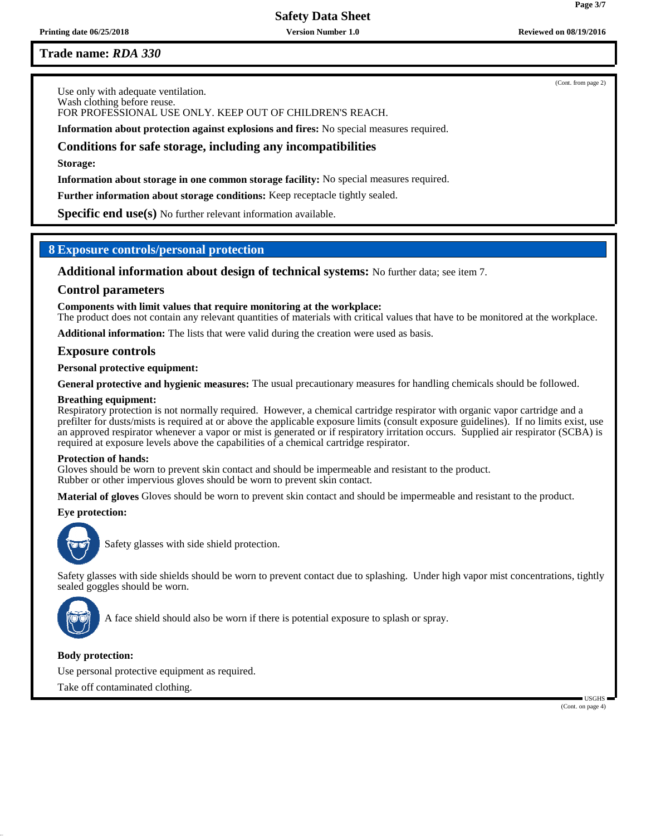**Safety Data Sheet**

**Printing date 06/25/2018 Version Number 1.0 Reviewed on 08/19/2016**

# **Trade name:** *RDA 330*

Use only with adequate ventilation. Wash clothing before reuse. FOR PROFESSIONAL USE ONLY. KEEP OUT OF CHILDREN'S REACH.

**Information about protection against explosions and fires:** No special measures required.

# **Conditions for safe storage, including any incompatibilities**

**Storage:**

**Information about storage in one common storage facility:** No special measures required.

**Further information about storage conditions:** Keep receptacle tightly sealed.

**Specific end use(s)** No further relevant information available.

# **8 Exposure controls/personal protection**

**Additional information about design of technical systems:** No further data; see item 7.

# **Control parameters**

**Components with limit values that require monitoring at the workplace:**

The product does not contain any relevant quantities of materials with critical values that have to be monitored at the workplace.

**Additional information:** The lists that were valid during the creation were used as basis.

# **Exposure controls**

**Personal protective equipment:**

**General protective and hygienic measures:** The usual precautionary measures for handling chemicals should be followed.

#### **Breathing equipment:**

Respiratory protection is not normally required. However, a chemical cartridge respirator with organic vapor cartridge and a prefilter for dusts/mists is required at or above the applicable exposure limits (consult exposure guidelines). If no limits exist, use an approved respirator whenever a vapor or mist is generated or if respiratory irritation occurs. Supplied air respirator (SCBA) is required at exposure levels above the capabilities of a chemical cartridge respirator.

#### **Protection of hands:**

Gloves should be worn to prevent skin contact and should be impermeable and resistant to the product. Rubber or other impervious gloves should be worn to prevent skin contact.

**Material of gloves** Gloves should be worn to prevent skin contact and should be impermeable and resistant to the product.

# **Eye protection:**



Safety glasses with side shield protection.

Safety glasses with side shields should be worn to prevent contact due to splashing. Under high vapor mist concentrations, tightly sealed goggles should be worn.



A face shield should also be worn if there is potential exposure to splash or spray.

# **Body protection:**

Use personal protective equipment as required.

Take off contaminated clothing.

(Cont. on page 4)

USGHS

(Cont. from page 2)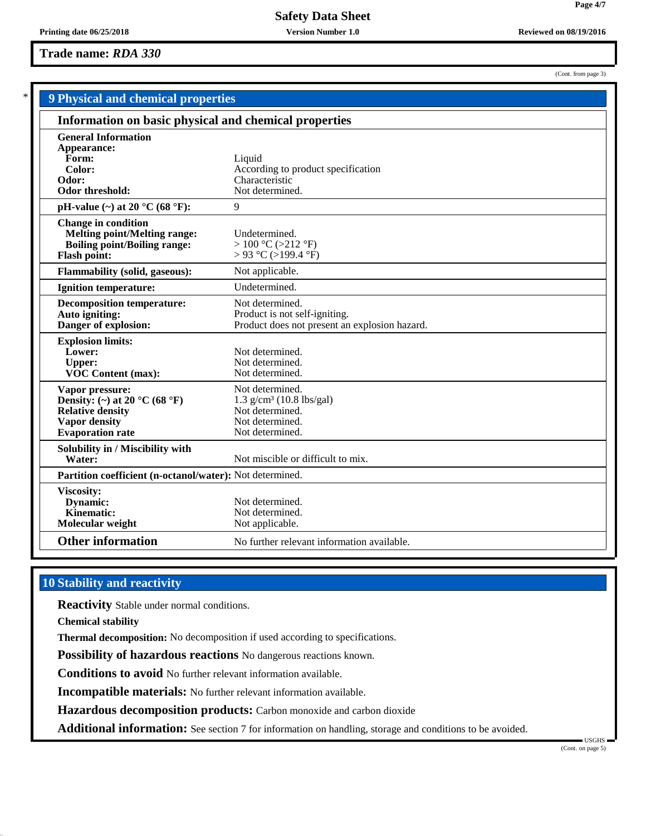(Cont. from page 3)

**Page 4/7**

|                                                                                                                                             | <b>9 Physical and chemical properties</b>                                                                          |  |  |
|---------------------------------------------------------------------------------------------------------------------------------------------|--------------------------------------------------------------------------------------------------------------------|--|--|
|                                                                                                                                             | Information on basic physical and chemical properties                                                              |  |  |
| <b>General Information</b><br>Appearance:<br>Form:<br>Color:<br>Odor:<br>Odor threshold:                                                    | Liquid<br>According to product specification<br>Characteristic<br>Not determined.                                  |  |  |
| pH-value $(\sim)$ at 20 °C (68 °F):                                                                                                         | 9                                                                                                                  |  |  |
| <b>Change in condition</b><br><b>Melting point/Melting range:</b><br><b>Boiling point/Boiling range:</b><br>Flash point:                    | Undetermined.<br>$> 100$ °C ( $>212$ °F)<br>> 93 °C (>199.4 °F)                                                    |  |  |
| <b>Flammability (solid, gaseous):</b>                                                                                                       | Not applicable.                                                                                                    |  |  |
| <b>Ignition temperature:</b>                                                                                                                | Undetermined.                                                                                                      |  |  |
| <b>Decomposition temperature:</b><br>Auto igniting:<br>Danger of explosion:                                                                 | Not determined.<br>Product is not self-igniting.<br>Product does not present an explosion hazard.                  |  |  |
| <b>Explosion limits:</b><br>Lower:<br><b>Upper:</b><br>VOC Content (max):                                                                   | Not determined.<br>Not determined.<br>Not determined.                                                              |  |  |
| Vapor pressure:<br>Density: (~) at 20 $^{\circ}$ C (68 $^{\circ}$ F)<br><b>Relative density</b><br>Vapor density<br><b>Evaporation</b> rate | Not determined.<br>$1.3$ g/cm <sup>3</sup> (10.8 lbs/gal)<br>Not determined.<br>Not determined.<br>Not determined. |  |  |
| Solubility in / Miscibility with<br>Water:                                                                                                  | Not miscible or difficult to mix.                                                                                  |  |  |
| Partition coefficient (n-octanol/water): Not determined.                                                                                    |                                                                                                                    |  |  |
| Viscosity:<br>Dynamic:<br>Kinematic:<br>Molecular weight                                                                                    | Not determined.<br>Not determined.<br>Not applicable.                                                              |  |  |
| <b>Other information</b>                                                                                                                    | No further relevant information available.                                                                         |  |  |

# **10 Stability and reactivity**

**Reactivity** Stable under normal conditions.

**Chemical stability**

**Thermal decomposition:** No decomposition if used according to specifications.

**Possibility of hazardous reactions** No dangerous reactions known.

**Conditions to avoid** No further relevant information available.

**Incompatible materials:** No further relevant information available.

**Hazardous decomposition products:** Carbon monoxide and carbon dioxide

Additional information: See section 7 for information on handling, storage and conditions to be avoided.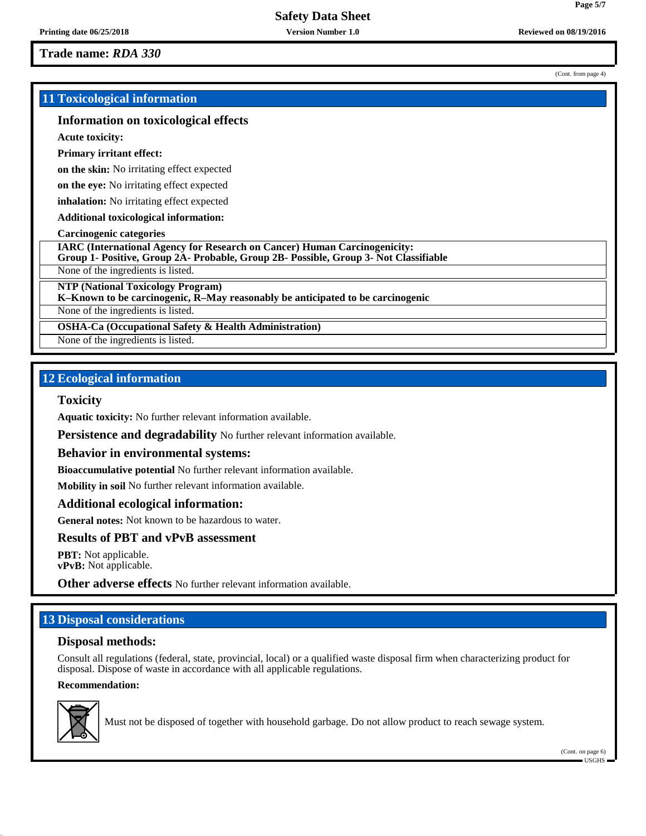# **11 Toxicological information**

# **Information on toxicological effects**

**Acute toxicity:**

#### **Primary irritant effect:**

**on the skin:** No irritating effect expected

**on the eye:** No irritating effect expected

**inhalation:** No irritating effect expected

**Additional toxicological information:**

#### **Carcinogenic categories**

**IARC (International Agency for Research on Cancer) Human Carcinogenicity:**

**Group 1- Positive, Group 2A- Probable, Group 2B- Possible, Group 3- Not Classifiable**

None of the ingredients is listed.

**NTP (National Toxicology Program)**

**K–Known to be carcinogenic, R–May reasonably be anticipated to be carcinogenic**

None of the ingredients is listed.

**OSHA-Ca (Occupational Safety & Health Administration)**

None of the ingredients is listed.

# **12 Ecological information**

#### **Toxicity**

**Aquatic toxicity:** No further relevant information available.

**Persistence and degradability** No further relevant information available.

#### **Behavior in environmental systems:**

**Bioaccumulative potential** No further relevant information available.

**Mobility in soil** No further relevant information available.

#### **Additional ecological information:**

**General notes:** Not known to be hazardous to water.

# **Results of PBT and vPvB assessment**

**PBT:** Not applicable. **vPvB:** Not applicable.

**Other adverse effects** No further relevant information available.

# **13 Disposal considerations**

# **Disposal methods:**

Consult all regulations (federal, state, provincial, local) or a qualified waste disposal firm when characterizing product for disposal. Dispose of waste in accordance with all applicable regulations.

#### **Recommendation:**



Must not be disposed of together with household garbage. Do not allow product to reach sewage system.

(Cont. from page 4)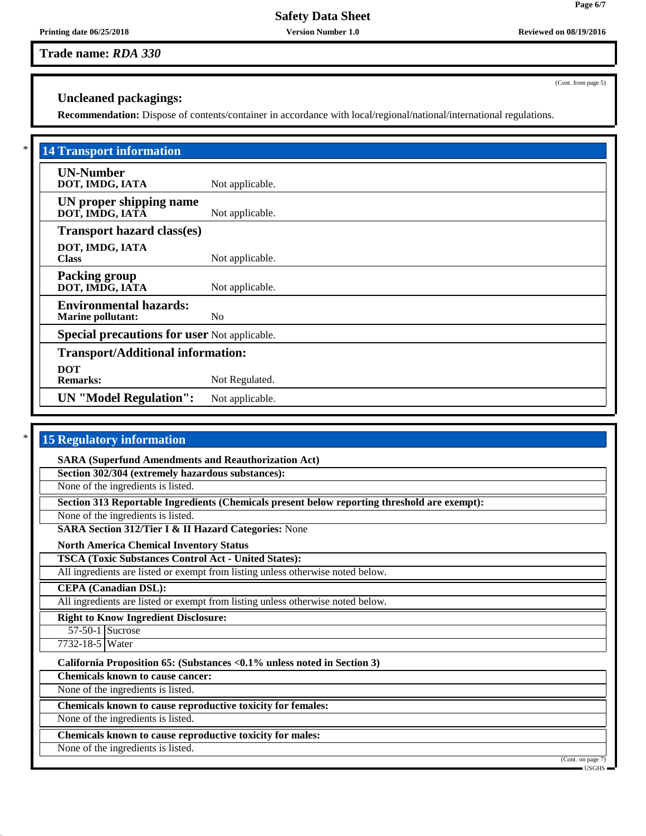# **Safety Data Sheet**

**Trade name:** *RDA 330*

**Uncleaned packagings:**

**Recommendation:** Dispose of contents/container in accordance with local/regional/national/international regulations.

| <b>14 Transport information</b>                           |                 |  |  |
|-----------------------------------------------------------|-----------------|--|--|
| <b>UN-Number</b><br>DOT, IMDG, IATA                       | Not applicable. |  |  |
| UN proper shipping name<br>DOT, IMDG, IATĀ                | Not applicable. |  |  |
| <b>Transport hazard class(es)</b>                         |                 |  |  |
| DOT, IMDG, IATA<br><b>Class</b>                           | Not applicable. |  |  |
| <b>Packing group</b><br>DOT, IMDG, IATA                   | Not applicable. |  |  |
| <b>Environmental hazards:</b><br><b>Marine pollutant:</b> | No              |  |  |
| <b>Special precautions for user Not applicable.</b>       |                 |  |  |
| <b>Transport/Additional information:</b>                  |                 |  |  |
| <b>DOT</b><br><b>Remarks:</b>                             | Not Regulated.  |  |  |
| <b>UN</b> "Model Regulation":                             | Not applicable. |  |  |

| <b>15 Regulatory information</b>                                                             |
|----------------------------------------------------------------------------------------------|
| <b>SARA (Superfund Amendments and Reauthorization Act)</b>                                   |
| Section 302/304 (extremely hazardous substances):                                            |
| None of the ingredients is listed.                                                           |
| Section 313 Reportable Ingredients (Chemicals present below reporting threshold are exempt): |
| None of the ingredients is listed.                                                           |
| SARA Section 312/Tier I & II Hazard Categories: None                                         |
| <b>North America Chemical Inventory Status</b>                                               |
| <b>TSCA (Toxic Substances Control Act - United States):</b>                                  |
| All ingredients are listed or exempt from listing unless otherwise noted below.              |
| <b>CEPA</b> (Canadian DSL):                                                                  |
| All ingredients are listed or exempt from listing unless otherwise noted below.              |
| <b>Right to Know Ingredient Disclosure:</b>                                                  |
| $57-50-1$ Sucrose                                                                            |
| 7732-18-5 Water                                                                              |
| California Proposition 65: (Substances <0.1% unless noted in Section 3)                      |
| <b>Chemicals known to cause cancer:</b>                                                      |
| None of the ingredients is listed.                                                           |
| Chemicals known to cause reproductive toxicity for females:                                  |
| None of the ingredients is listed.                                                           |
| Chemicals known to cause reproductive toxicity for males:                                    |
| None of the ingredients is listed.<br>(Cont. on page $7$ )                                   |

(Cont. from page 5)